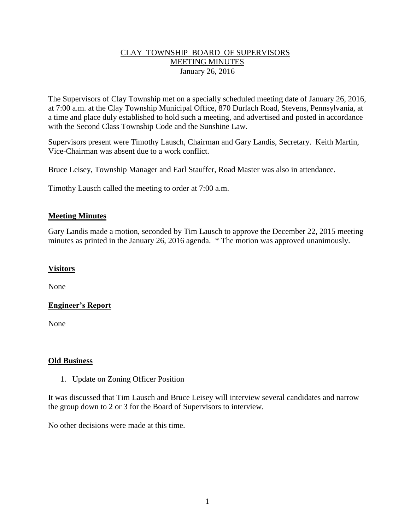## CLAY TOWNSHIP BOARD OF SUPERVISORS MEETING MINUTES January 26, 2016

The Supervisors of Clay Township met on a specially scheduled meeting date of January 26, 2016, at 7:00 a.m. at the Clay Township Municipal Office, 870 Durlach Road, Stevens, Pennsylvania, at a time and place duly established to hold such a meeting, and advertised and posted in accordance with the Second Class Township Code and the Sunshine Law.

Supervisors present were Timothy Lausch, Chairman and Gary Landis, Secretary. Keith Martin, Vice-Chairman was absent due to a work conflict.

Bruce Leisey, Township Manager and Earl Stauffer, Road Master was also in attendance.

Timothy Lausch called the meeting to order at 7:00 a.m.

## **Meeting Minutes**

Gary Landis made a motion, seconded by Tim Lausch to approve the December 22, 2015 meeting minutes as printed in the January 26, 2016 agenda. \* The motion was approved unanimously.

### **Visitors**

None

# **Engineer's Report**

None

#### **Old Business**

1. Update on Zoning Officer Position

It was discussed that Tim Lausch and Bruce Leisey will interview several candidates and narrow the group down to 2 or 3 for the Board of Supervisors to interview.

No other decisions were made at this time.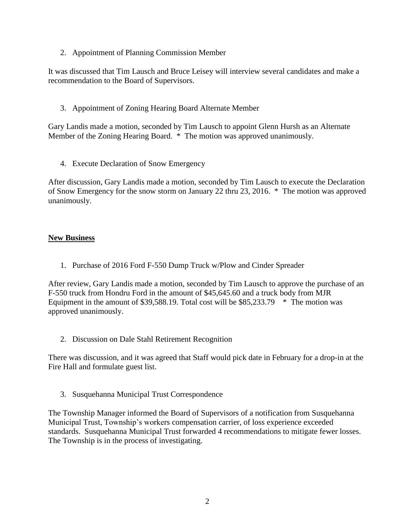2. Appointment of Planning Commission Member

It was discussed that Tim Lausch and Bruce Leisey will interview several candidates and make a recommendation to the Board of Supervisors.

3. Appointment of Zoning Hearing Board Alternate Member

Gary Landis made a motion, seconded by Tim Lausch to appoint Glenn Hursh as an Alternate Member of the Zoning Hearing Board. \* The motion was approved unanimously.

4. Execute Declaration of Snow Emergency

After discussion, Gary Landis made a motion, seconded by Tim Lausch to execute the Declaration of Snow Emergency for the snow storm on January 22 thru 23, 2016. \* The motion was approved unanimously.

## **New Business**

1. Purchase of 2016 Ford F-550 Dump Truck w/Plow and Cinder Spreader

After review, Gary Landis made a motion, seconded by Tim Lausch to approve the purchase of an F-550 truck from Hondru Ford in the amount of \$45,645.60 and a truck body from MJR Equipment in the amount of \$39,588.19. Total cost will be  $$85,233.79$  \* The motion was approved unanimously.

2. Discussion on Dale Stahl Retirement Recognition

There was discussion, and it was agreed that Staff would pick date in February for a drop-in at the Fire Hall and formulate guest list.

3. Susquehanna Municipal Trust Correspondence

The Township Manager informed the Board of Supervisors of a notification from Susquehanna Municipal Trust, Township's workers compensation carrier, of loss experience exceeded standards. Susquehanna Municipal Trust forwarded 4 recommendations to mitigate fewer losses. The Township is in the process of investigating.